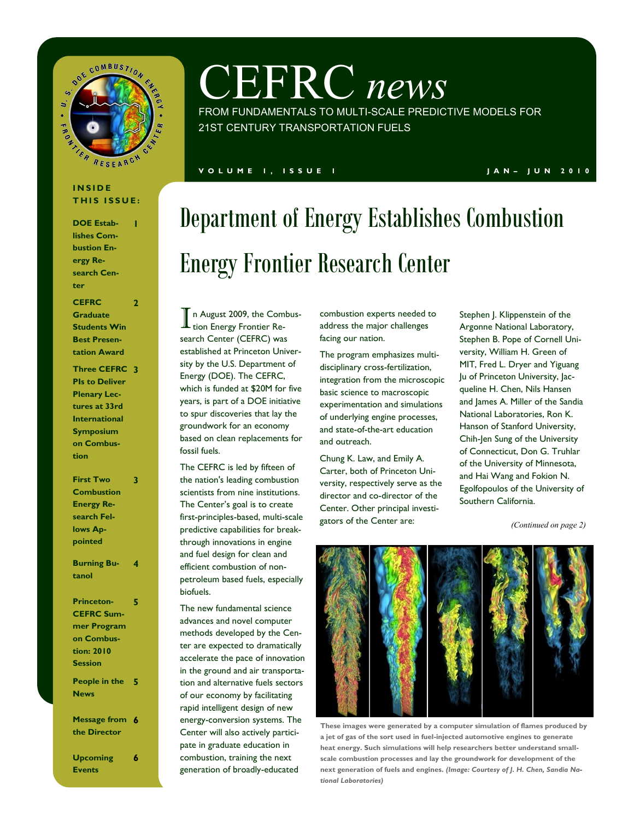

# CEFRC *news*

FROM FUNDAMENTALS TO MULTI-SCALE PREDICTIVE MODELS FOR 21ST CENTURY TRANSPORTATION FUELS

### **V O L U M E 1 , I S S U E 1 J A N – J U N 2 0 1 0**

### **I N S I D E THIS ISSUE:**

**1**

**2**

**DOE Establishes Combustion Energy Research Center**

**CEFRC Graduate Students Win Best Presentation Award**

**Three CEFRC 3 PIs to Deliver Plenary Lectures at 33rd International Symposium on Combustion**

| <b>First Two</b>    | 3 |
|---------------------|---|
| <b>Combustion</b>   |   |
| <b>Energy Re-</b>   |   |
| search Fel-         |   |
| lows Ap-            |   |
| pointed             |   |
| <b>Burning Bu-</b>  | 4 |
| tanol               |   |
|                     |   |
| <b>Princeton-</b>   | 5 |
| <b>CEFRC Sum-</b>   |   |
| mer Program         |   |
| on Combus-          |   |
| tion: 2010          |   |
| <b>Session</b>      |   |
| People in the 5     |   |
| <b>News</b>         |   |
| <b>Message from</b> | 6 |
| the Director        |   |
|                     |   |

**Upcoming Events 6**

# Department of Energy Establishes Combustion Energy Frontier Research Center

I n August 2009, the Combustion Energy Frontier Research Center (CEFRC) was established at Princeton University by the U.S. Department of Energy (DOE). The CEFRC, which is funded at \$20M for five years, is part of a DOE initiative to spur discoveries that lay the groundwork for an economy based on clean replacements for fossil fuels.

The CEFRC is led by fifteen of the nation's leading combustion scientists from nine institutions. The Center's goal is to create first-principles-based, multi-scale predictive capabilities for breakthrough innovations in engine and fuel design for clean and efficient combustion of nonpetroleum based fuels, especially biofuels.

The new fundamental science advances and novel computer methods developed by the Center are expected to dramatically accelerate the pace of innovation in the ground and air transportation and alternative fuels sectors of our economy by facilitating rapid intelligent design of new energy-conversion systems. The Center will also actively participate in graduate education in combustion, training the next generation of broadly-educated

combustion experts needed to address the major challenges facing our nation.

The program emphasizes multidisciplinary cross-fertilization, integration from the microscopic basic science to macroscopic experimentation and simulations of underlying engine processes, and state-of-the-art education and outreach.

Chung K. Law, and Emily A. Carter, both of Princeton University, respectively serve as the director and co-director of the Center. Other principal investigators of the Center are:

Stephen J. Klippenstein of the Argonne National Laboratory, Stephen B. Pope of Cornell University, William H. Green of MIT, Fred L. Dryer and Yiguang Ju of Princeton University, Jacqueline H. Chen, Nils Hansen and James A. Miller of the Sandia National Laboratories, Ron K. Hanson of Stanford University, Chih-Jen Sung of the University of Connecticut, Don G. Truhlar of the University of Minnesota, and Hai Wang and Fokion N. Egolfopoulos of the University of Southern California.

*(Continued on page 2)*



**These images were generated by a computer simulation of flames produced by a jet of gas of the sort used in fuel-injected automotive engines to generate heat energy. Such simulations will help researchers better understand smallscale combustion processes and lay the groundwork for development of the next generation of fuels and engines.** *(Image: Courtesy of J. H. Chen, Sandia National Laboratories)*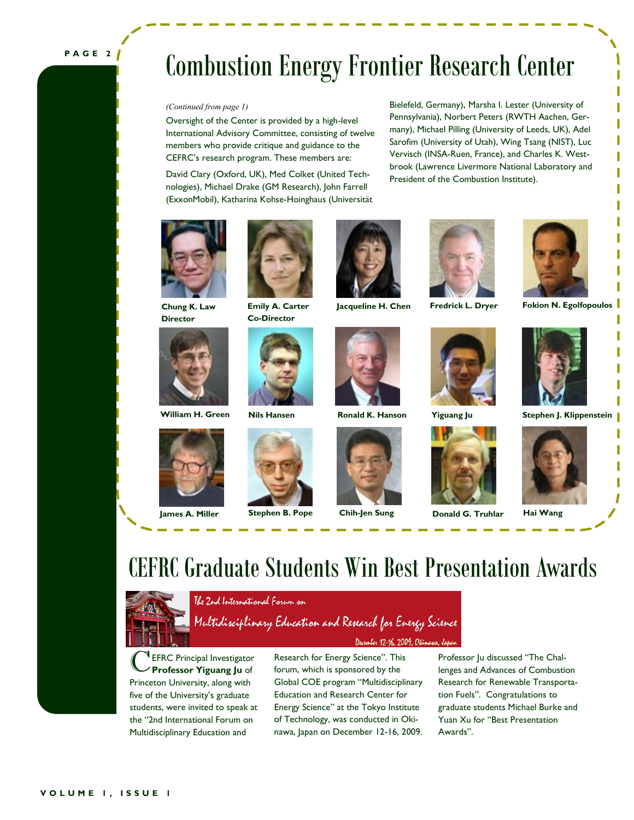### **P A G E 2**

# Combustion Energy Frontier Research Center

Oversight of the Center is provided by a high-level International Advisory Committee, consisting of twelve members who provide critique and guidance to the CEFRC's research program. These members are:

David Clary (Oxford, UK), Med Colket (United Technologies), Michael Drake (GM Research), John Farrell (ExxonMobil), Katharina Kohse-Hoinghaus (Universität

*(Continued from page 1)* Bielefeld, Germany), Marsha I. Lester (University of Pennsylvania), Norbert Peters (RWTH Aachen, Germany), Michael Pilling (University of Leeds, UK), Adel Sarofim (University of Utah), Wing Tsang (NIST), Luc Vervisch (INSA-Ruen, France), and Charles K. Westbrook (Lawrence Livermore National Laboratory and President of the Combustion Institute).



**Chung K. Law Director**





**Emily A. Carter Co-Director**















**Jacqueline H. Chen Fredrick L. Dryer Fokion N. Egolfopoulos**



**William H. Green Nils Hansen Ronald K. Hanson Yiguang Ju Stephen J. Klippenstein**









**James A. Miller Stephen B. Pope Chih-Jen Sung Donald G. Truhlar Hai Wang**



# CEFRC Graduate Students Win Best Presentation Awards



The 2nd International Forum on

Multidisciplinary Education and Research for Energy Science December 12-16, 2009, Okina

C EFRC Principal Investigator **Professor Yiguang Ju** of Princeton University, along with five of the University's graduate students, were invited to speak at the "2nd International Forum on Multidisciplinary Education and

Research for Energy Science". This forum, which is sponsored by the Global COE program "Multidisciplinary Education and Research Center for Energy Science" at the Tokyo Institute of Technology, was conducted in Okinawa, Japan on December 12-16, 2009.

Professor Ju discussed "The Challenges and Advances of Combustion Research for Renewable Transportation Fuels". Congratulations to graduate students Michael Burke and Yuan Xu for "Best Presentation Awards".

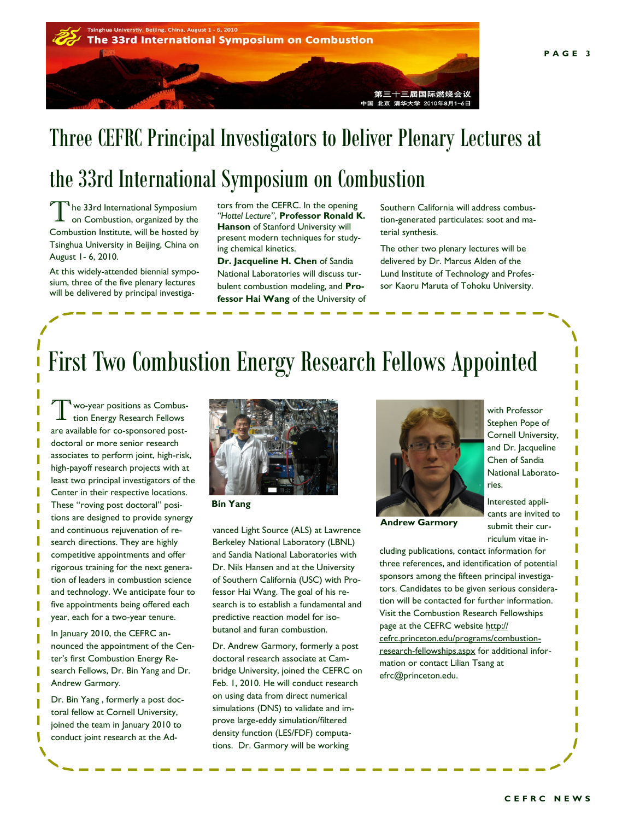

# Three CEFRC Principal Investigators to Deliver Plenary Lectures at the 33rd International Symposium on Combustion

T <sup>1</sup>he 33rd International Symposium on Combustion, organized by the Combustion Institute, will be hosted by Tsinghua University in Beijing, China on August 1- 6, 2010.

At this widely-attended biennial symposium, three of the five plenary lectures will be delivered by principal investigators from the CEFRC. In the opening *"Hottel Lecture"*, **Professor Ronald K. Hanson** of Stanford University will present modern techniques for studying chemical kinetics.

**Dr. Jacqueline H. Chen** of Sandia National Laboratories will discuss turbulent combustion modeling, and **Professor Hai Wang** of the University of Southern California will address combustion-generated particulates: soot and material synthesis.

The other two plenary lectures will be delivered by Dr. Marcus Alden of the Lund Institute of Technology and Professor Kaoru Maruta of Tohoku University.

# First Two Combustion Energy Research Fellows Appointed

Two-year positions as Combus-<br>tion Energy Research Fellows wo-year positions as Combusare available for co-sponsored postdoctoral or more senior research associates to perform joint, high-risk, high-payoff research projects with at least two principal investigators of the Center in their respective locations. These "roving post doctoral" positions are designed to provide synergy and continuous rejuvenation of research directions. They are highly competitive appointments and offer rigorous training for the next generation of leaders in combustion science and technology. We anticipate four to five appointments being offered each year, each for a two-year tenure.

In January 2010, the CEFRC announced the appointment of the Center's first Combustion Energy Research Fellows, Dr. Bin Yang and Dr. Andrew Garmory.

Dr. Bin Yang , formerly a post doctoral fellow at Cornell University, joined the team in January 2010 to conduct joint research at the Ad-



**Bin Yang**

vanced Light Source (ALS) at Lawrence Berkeley National Laboratory (LBNL) and Sandia National Laboratories with Dr. Nils Hansen and at the University of Southern California (USC) with Professor Hai Wang. The goal of his research is to establish a fundamental and predictive reaction model for isobutanol and furan combustion.

Dr. Andrew Garmory, formerly a post doctoral research associate at Cambridge University, joined the CEFRC on Feb. 1, 2010. He will conduct research on using data from direct numerical simulations (DNS) to validate and improve large-eddy simulation/filtered density function (LES/FDF) computations. Dr. Garmory will be working



**Andrew Garmory**

with Professor Stephen Pope of Cornell University, and Dr. Jacqueline Chen of Sandia National Laboratories.

Interested applicants are invited to submit their curriculum vitae in-

cluding publications, contact information for three references, and identification of potential sponsors among the fifteen principal investigators. Candidates to be given serious consideration will be contacted for further information. Visit the Combustion Research Fellowships page at the CEFRC website http:// cefrc.princeton.edu/programs/combustionresearch-fellowships.aspx for additional information or contact Lilian Tsang at efrc@princeton.edu.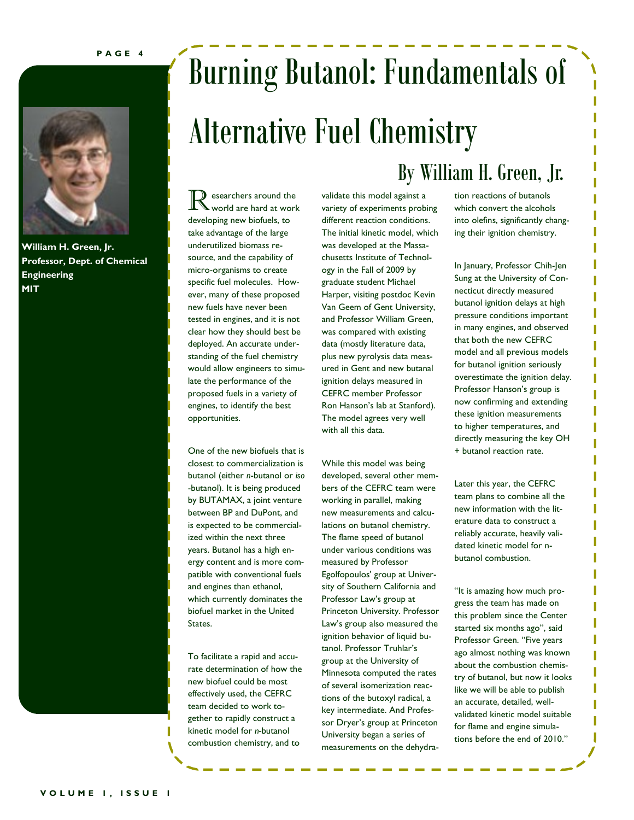**P A G E 4**



**William H. Green, Jr. Professor, Dept. of Chemical Engineering MIT**

# Burning Butanol: Fundamentals of Alternative Fuel Chemistry

 $\sum$  esearchers around the world are hard at work developing new biofuels, to take advantage of the large underutilized biomass resource, and the capability of micro-organisms to create specific fuel molecules. However, many of these proposed new fuels have never been tested in engines, and it is not clear how they should best be deployed. An accurate understanding of the fuel chemistry would allow engineers to simulate the performance of the proposed fuels in a variety of engines, to identify the best opportunities.

One of the new biofuels that is closest to commercialization is butanol (either *n*-butanol or *iso* -butanol). It is being produced by BUTAMAX, a joint venture between BP and DuPont, and is expected to be commercialized within the next three years. Butanol has a high energy content and is more compatible with conventional fuels and engines than ethanol, which currently dominates the biofuel market in the United States.

To facilitate a rapid and accurate determination of how the new biofuel could be most effectively used, the CEFRC team decided to work together to rapidly construct a kinetic model for *n-*butanol combustion chemistry, and to

validate this model against a variety of experiments probing different reaction conditions. The initial kinetic model, which was developed at the Massachusetts Institute of Technology in the Fall of 2009 by graduate student Michael Harper, visiting postdoc Kevin Van Geem of Gent University, and Professor William Green, was compared with existing data (mostly literature data, plus new pyrolysis data measured in Gent and new butanal ignition delays measured in CEFRC member Professor Ron Hanson's lab at Stanford). The model agrees very well with all this data.

While this model was being developed, several other members of the CEFRC team were working in parallel, making new measurements and calculations on butanol chemistry. The flame speed of butanol under various conditions was measured by Professor Egolfopoulos' group at University of Southern California and Professor Law's group at Princeton University. Professor Law's group also measured the ignition behavior of liquid butanol. Professor Truhlar's group at the University of Minnesota computed the rates of several isomerization reactions of the butoxyl radical, a key intermediate. And Professor Dryer's group at Princeton University began a series of measurements on the dehydra-

### By William H. Green, Jr.

tion reactions of butanols which convert the alcohols into olefins, significantly changing their ignition chemistry.

In January, Professor Chih-Jen Sung at the University of Connecticut directly measured butanol ignition delays at high pressure conditions important in many engines, and observed that both the new CEFRC model and all previous models for butanol ignition seriously overestimate the ignition delay. Professor Hanson's group is now confirming and extending these ignition measurements to higher temperatures, and directly measuring the key OH + butanol reaction rate.

Later this year, the CEFRC team plans to combine all the new information with the literature data to construct a reliably accurate, heavily validated kinetic model for nbutanol combustion.

"It is amazing how much progress the team has made on this problem since the Center started six months ago", said Professor Green. "Five years ago almost nothing was known about the combustion chemistry of butanol, but now it looks like we will be able to publish an accurate, detailed, wellvalidated kinetic model suitable for flame and engine simulations before the end of 2010."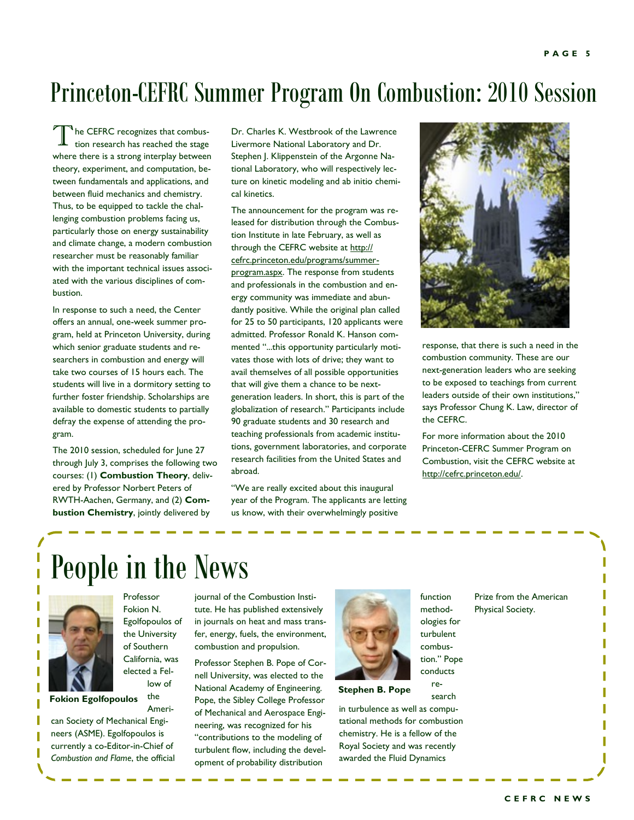## Princeton-CEFRC Summer Program On Combustion: 2010 Session

T he CEFRC recognizes that combustion research has reached the stage where there is a strong interplay between theory, experiment, and computation, between fundamentals and applications, and between fluid mechanics and chemistry. Thus, to be equipped to tackle the challenging combustion problems facing us, particularly those on energy sustainability and climate change, a modern combustion researcher must be reasonably familiar with the important technical issues associated with the various disciplines of combustion.

In response to such a need, the Center offers an annual, one-week summer program, held at Princeton University, during which senior graduate students and researchers in combustion and energy will take two courses of 15 hours each. The students will live in a dormitory setting to further foster friendship. Scholarships are available to domestic students to partially defray the expense of attending the program.

The 2010 session, scheduled for June 27 through July 3, comprises the following two courses: (1) **Combustion Theory**, delivered by Professor Norbert Peters of RWTH-Aachen, Germany, and (2) **Combustion Chemistry**, jointly delivered by

Dr. Charles K. Westbrook of the Lawrence Livermore National Laboratory and Dr. Stephen J. Klippenstein of the Argonne National Laboratory, who will respectively lecture on kinetic modeling and ab initio chemical kinetics.

The announcement for the program was released for distribution through the Combustion Institute in late February, as well as through the CEFRC website at [http://](http://cefrc.princeton.edu/programs/summer-program.aspx) [cefrc.princeton.edu/programs/summer](http://cefrc.princeton.edu/programs/summer-program.aspx)[program.aspx.](http://cefrc.princeton.edu/programs/summer-program.aspx) The response from students and professionals in the combustion and energy community was immediate and abundantly positive. While the original plan called for 25 to 50 participants, 120 applicants were admitted. Professor Ronald K. Hanson commented "...this opportunity particularly motivates those with lots of drive; they want to avail themselves of all possible opportunities that will give them a chance to be nextgeneration leaders. In short, this is part of the globalization of research." Participants include 90 graduate students and 30 research and teaching professionals from academic institutions, government laboratories, and corporate research facilities from the United States and abroad.

"We are really excited about this inaugural year of the Program. The applicants are letting us know, with their overwhelmingly positive



response, that there is such a need in the combustion community. These are our next-generation leaders who are seeking to be exposed to teachings from current leaders outside of their own institutions," says Professor Chung K. Law, director of the CEFRC.

For more information about the 2010 Princeton-CEFRC Summer Program on Combustion, visit the CEFRC website at [http://cefrc.princeton.edu/.](http://cefrc.princeton.edu)

# People in the News



Professor Fokion N. Egolfopoulos of the University of Southern California, was elected a Fellow of

the Ameri-

**Fokion Egolfopoulos**

can Society of Mechanical Engineers (ASME). Egolfopoulos is currently a co-Editor-in-Chief of *Combustion and Flame*, the official journal of the Combustion Institute. He has published extensively in journals on heat and mass transfer, energy, fuels, the environment, combustion and propulsion.

Professor Stephen B. Pope of Cornell University, was elected to the National Academy of Engineering. Pope, the Sibley College Professor of Mechanical and Aerospace Engineering, was recognized for his "contributions to the modeling of turbulent flow, including the development of probability distribution



methodologies for turbulent combustion." Pope conducts

function

search

in turbulence as well as computational methods for combustion chemistry. He is a fellow of the Royal Society and was recently awarded the Fluid Dynamics

Physical Society.

Prize from the American

re-